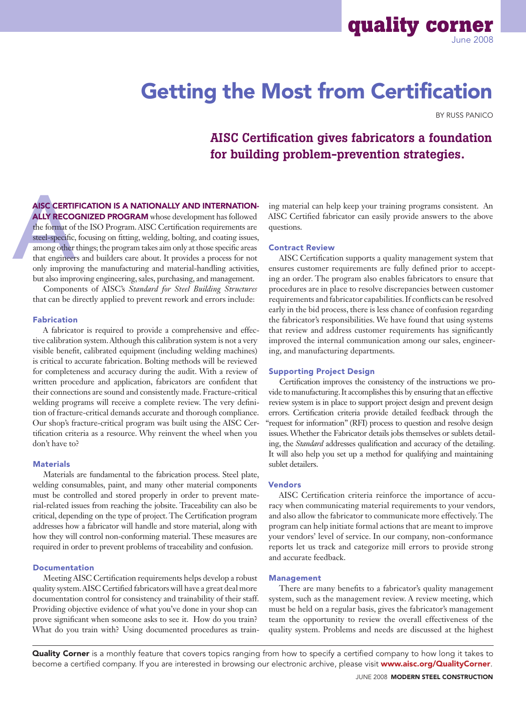# Getting the Most from Certification

By Russ Panico

**quality corner** 

# AISC Certification gives fabricators a foundation for building problem-prevention strategies.

AISC Certification is a nationally and internation-ALLY RECOGNIZED PROGRAM whose development has followed

AISC CERTII<br>ALLY RECOO<br>the format of<br>steel-specific,<br>among other<br>that engineer<br>only improvi the format of the ISO Program. AISC Certification requirements are steel-specific, focusing on fitting, welding, bolting, and coating issues, among other things; the program takes aim only at those specific areas that engineers and builders care about. It provides a process for not only improving the manufacturing and material-handling activities, but also improving engineering, sales, purchasing, and management.

Components of AISC's *Standard for Steel Building Structures*  that can be directly applied to prevent rework and errors include:

#### Fabrication

A fabricator is required to provide a comprehensive and effective calibration system. Although this calibration system is not a very visible benefit, calibrated equipment (including welding machines) is critical to accurate fabrication. Bolting methods will be reviewed for completeness and accuracy during the audit. With a review of written procedure and application, fabricators are confident that their connections are sound and consistently made. Fracture-critical welding programs will receive a complete review. The very definition of fracture-critical demands accurate and thorough compliance. Our shop's fracture-critical program was built using the AISC Certification criteria as a resource. Why reinvent the wheel when you don't have to?

#### **Materials**

Materials are fundamental to the fabrication process. Steel plate, welding consumables, paint, and many other material components must be controlled and stored properly in order to prevent material-related issues from reaching the jobsite. Traceability can also be critical, depending on the type of project. The Certification program addresses how a fabricator will handle and store material, along with how they will control non-conforming material. These measures are required in order to prevent problems of traceability and confusion.

### Documentation

Meeting AISC Certification requirements helps develop a robust quality system. AISC Certified fabricators will have a great deal more documentation control for consistency and trainability of their staff. Providing objective evidence of what you've done in your shop can prove significant when someone asks to see it. How do you train? What do you train with? Using documented procedures as training material can help keep your training programs consistent. An AISC Certified fabricator can easily provide answers to the above questions.

#### Contract Review

AISC Certification supports a quality management system that ensures customer requirements are fully defined prior to accepting an order. The program also enables fabricators to ensure that procedures are in place to resolve discrepancies between customer requirements and fabricator capabilities. If conflicts can be resolved early in the bid process, there is less chance of confusion regarding the fabricator's responsibilities. We have found that using systems that review and address customer requirements has significantly improved the internal communication among our sales, engineering, and manufacturing departments.

#### Supporting Project Design

Certification improves the consistency of the instructions we provide to manufacturing. It accomplishes this by ensuring that an effective review system is in place to support project design and prevent design errors. Certification criteria provide detailed feedback through the "request for information" (RFI) process to question and resolve design issues. Whether the Fabricator details jobs themselves or sublets detailing, the *Standard* addresses qualification and accuracy of the detailing. It will also help you set up a method for qualifying and maintaining sublet detailers.

#### Vendors

AISC Certification criteria reinforce the importance of accuracy when communicating material requirements to your vendors, and also allow the fabricator to communicate more effectively. The program can help initiate formal actions that are meant to improve your vendors' level of service. In our company, non-conformance reports let us track and categorize mill errors to provide strong and accurate feedback.

# Management

There are many benefits to a fabricator's quality management system, such as the management review. A review meeting, which must be held on a regular basis, gives the fabricator's management team the opportunity to review the overall effectiveness of the quality system. Problems and needs are discussed at the highest

Quality Corner is a monthly feature that covers topics ranging from how to specify a certified company to how long it takes to become a certified company. If you are interested in browsing our electronic archive, please visit www.aisc.org/QualityCorner.